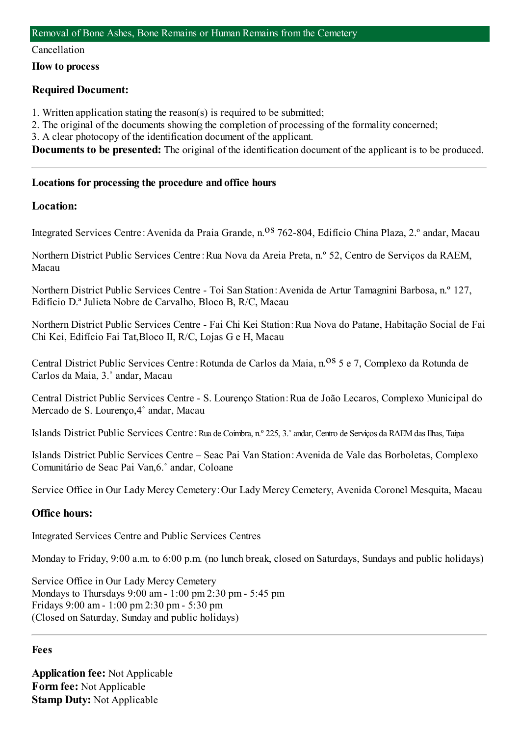#### Cancellation

**How to process**

## **Required Document:**

- 1. Written application stating the reason(s) is required to be submitted;
- 2. The original of the documents showing the completion of processing of the formality concerned;
- 3. A clear photocopy of the identification document of the applicant.

**Documents to be presented:** The original of the identification document of the applicant is to be produced.

## **Locations for processing the procedure and office hours**

## **Location:**

Integrated Services Centre: Avenida da Praia Grande, n.<sup>08</sup> 762-804, Edifício China Plaza, 2.º andar, Macau

Northern District Public Services Centre:Rua Nova da Areia Preta, n.º 52, Centro de Serviços da RAEM, Macau

Northern District Public Services Centre - Toi San Station:Avenida de Artur Tamagnini Barbosa, n.º 127, Edifício D.ª Julieta Nobre de Carvalho, Bloco B, R/C, Macau

Northern District Public Services Centre - Fai Chi Kei Station:Rua Nova do Patane, Habitação Social de Fai Chi Kei, Edifício Fai Tat,Bloco II, R/C, Lojas G e H, Macau

Central District Public Services Centre: Rotunda de Carlos da Maia, n.<sup>08</sup> 5 e 7, Complexo da Rotunda de Carlos da Maia, 3.˚ andar, Macau

Central District Public Services Centre - S. Lourenço Station:Rua de João Lecaros, Complexo Municipal do Mercado de S. Lourenço,4˚ andar, Macau

Islands District Public Services Centre: Rua de Coimbra, n.º 225, 3.º andar, Centro de Serviços da RAEM das Ilhas, Taipa

Islands District Public Services Centre – Seac Pai Van Station:Avenida de Vale das Borboletas, Complexo Comunitário de Seac Pai Van,6.˚ andar, Coloane

Service Office in Our Lady Mercy Cemetery:Our Lady Mercy Cemetery, Avenida Coronel Mesquita, Macau

## **Office hours:**

Integrated Services Centre and Public Services Centres

Monday to Friday, 9:00 a.m. to 6:00 p.m. (no lunch break, closed on Saturdays, Sundays and public holidays)

Service Office in Our Lady Mercy Cemetery Mondays to Thursdays 9:00 am- 1:00 pm2:30 pm- 5:45 pm Fridays 9:00 am- 1:00 pm2:30 pm- 5:30 pm (Closed on Saturday, Sunday and public holidays)

#### **Fees**

**Application fee:** Not Applicable **Form fee:** Not Applicable **Stamp Duty:** Not Applicable